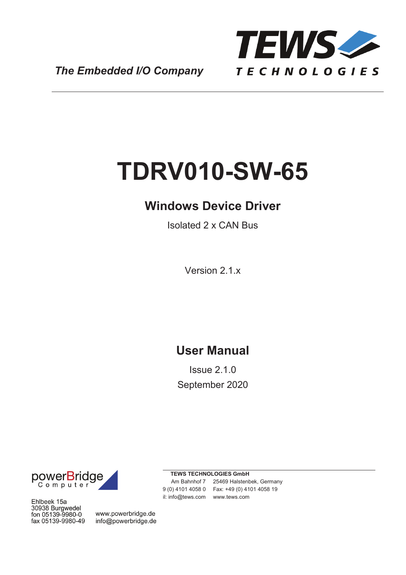

*The Embedded I/O Company*

# **TDRV010-SW-65**

## **Windows Device Driver**

Isolated 2 x CAN Bus

Version 2.1.x

## **User Manual**

Issue 2.1.0 September 2020



Ehlbeek 15a 30938 Burgwedel<br>fon 05139-9980-0 fax 05139-9980-49

www.powerbridge.de info@powerbridge.de

**TEWS TECHNOLOGIES GmbH** Am Bahnhof 7 25469 Halstenbek, Germany 9 (0) 4101 4058 0 Fax: +49 (0) 4101 4058 19

il: info@tews.com www.tews.com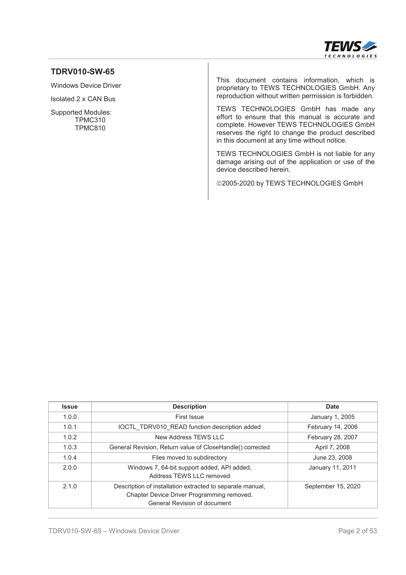

#### **TDRV010-SW-65**

Windows Device Driver

Isolated 2 x CAN Bus

Supported Modules: TPMC310 TPMC810

This document contains information, which is proprietary to TEWS TECHNOLOGIES GmbH. Any reproduction without written permission is forbidden.

TEWS TECHNOLOGIES GmbH has made any effort to ensure that this manual is accurate and complete. However TEWS TECHNOLOGIES GmbH reserves the right to change the product described in this document at any time without notice.

TEWS TECHNOLOGIES GmbH is not liable for any damage arising out of the application or use of the device described herein.

©2005-2020 by TEWS TECHNOLOGIES GmbH

| <b>Issue</b> | <b>Description</b>                                                                                                                             | Date               |
|--------------|------------------------------------------------------------------------------------------------------------------------------------------------|--------------------|
| 1.0.0        | First Issue                                                                                                                                    | January 1, 2005    |
| 1.0.1        | IOCTL TDRV010 READ function description added                                                                                                  | February 14, 2006  |
| 1.0.2        | New Address TEWS LLC                                                                                                                           | February 28, 2007  |
| 1.0.3        | General Revision, Return value of CloseHandle() corrected                                                                                      | April 7, 2008      |
| 1.0.4        | Files moved to subdirectory                                                                                                                    | June 23, 2008      |
| 2.0.0        | Windows 7, 64-bit support added, API added,<br>Address TFWS I I C removed                                                                      | January 11, 2011   |
| 2.1.0        | Description of installation extracted to separate manual,<br>Chapter Device Driver Programming removed.<br><b>General Revision of document</b> | September 15, 2020 |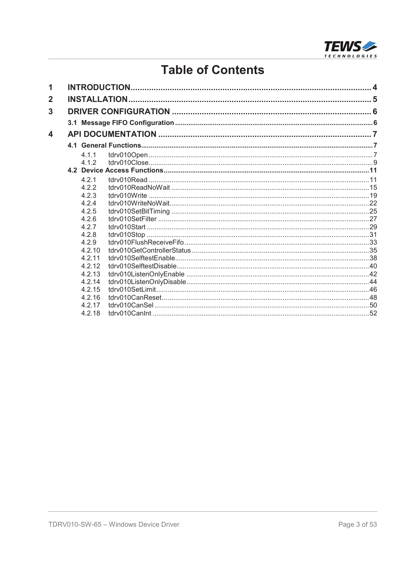

# **Table of Contents**

| 1              |        |  |
|----------------|--------|--|
| $\overline{2}$ |        |  |
| 3              |        |  |
|                |        |  |
| 4              |        |  |
|                |        |  |
|                | 4.1.1  |  |
|                | 412    |  |
|                |        |  |
|                | 4.2.1  |  |
|                | 422    |  |
|                | 4.2.3  |  |
|                | 4.2.4  |  |
|                | 4.2.5  |  |
|                | 4.26   |  |
|                | 4.2.7  |  |
|                | 4.2.8  |  |
|                | 4.2.9  |  |
|                | 4.2.10 |  |
|                | 4.2.11 |  |
|                | 4.2.12 |  |
|                | 4.2.13 |  |
|                | 4.2.14 |  |
|                | 4.2.15 |  |
|                | 4.2.16 |  |
|                | 4.2.17 |  |
|                | 4.2.18 |  |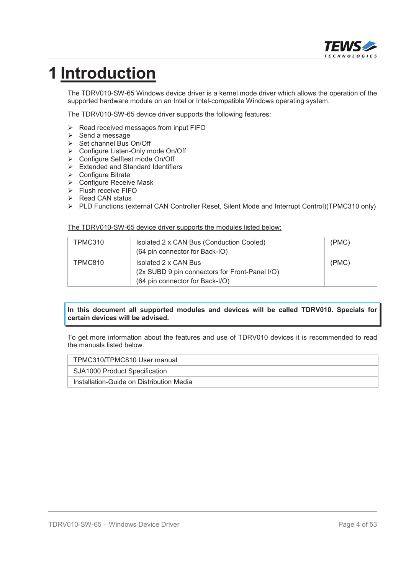

# **1 Introduction**

The TDRV010-SW-65 Windows device driver is a kernel mode driver which allows the operation of the supported hardware module on an Intel or Intel-compatible Windows operating system.

The TDRV010-SW-65 device driver supports the following features:

- $\triangleright$  Read received messages from input FIFO
- $\triangleright$  Send a message
- ¾ Set channel Bus On/Off
- ¾ Configure Listen-Only mode On/Off
- ¾ Configure Selftest mode On/Off
- $\triangleright$  Extended and Standard Identifiers
- ¾ Configure Bitrate
- ▶ Configure Receive Mask
- ¾ Flush receive FIFO
- $\triangleright$  Read CAN status
- ¾ PLD Functions (external CAN Controller Reset, Silent Mode and Interrupt Control)(TPMC310 only)

The TDRV010-SW-65 device driver supports the modules listed below:

| TPMC310 | Isolated 2 x CAN Bus (Conduction Cooled)<br>(64 pin connector for Back-IO)                                | (PMC) |
|---------|-----------------------------------------------------------------------------------------------------------|-------|
| TPMC810 | Isolated 2 x CAN Bus<br>(2x SUBD 9 pin connectors for Front-Panel I/O)<br>(64 pin connector for Back-I/O) | (PMC) |

**In this document all supported modules and devices will be called TDRV010. Specials for certain devices will be advised.**

To get more information about the features and use of TDRV010 devices it is recommended to read the manuals listed below.

TPMC310/TPMC810 User manual

SJA1000 Product Specification

Installation-Guide on Distribution Media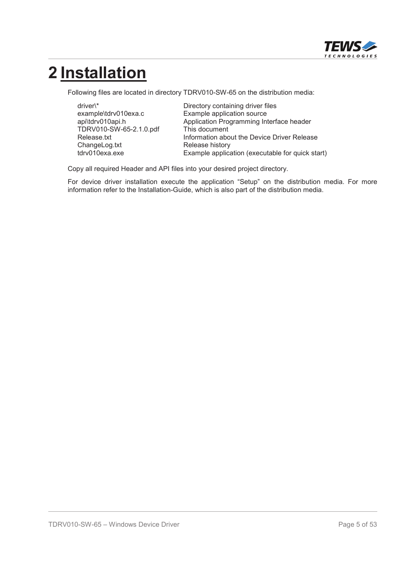

# **2 Installation**

Following files are located in directory TDRV010-SW-65 on the distribution media:

TDRV010-SW-65-2.1.0.pdf This document ChangeLog.txt Release history

driver\\* The Directory containing driver files example\tdrv010exa.c Example application source Application Programming Interface header Release.txt **Information about the Device Driver Release** tdrv010exa.exe Example application (executable for quick start)

Copy all required Header and API files into your desired project directory.

For device driver installation execute the application "Setup" on the distribution media. For more information refer to the Installation-Guide, which is also part of the distribution media.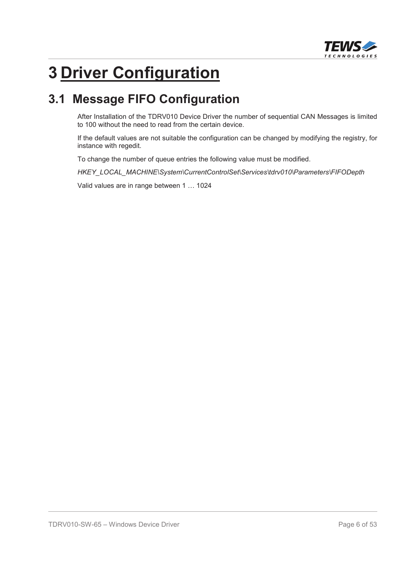

# **3 Driver Configuration**

## **3.1 Message FIFO Configuration**

After Installation of the TDRV010 Device Driver the number of sequential CAN Messages is limited to 100 without the need to read from the certain device.

If the default values are not suitable the configuration can be changed by modifying the registry, for instance with regedit.

To change the number of queue entries the following value must be modified.

*HKEY\_LOCAL\_MACHINE\System\CurrentControlSet\Services\tdrv010\Parameters\FIFODepth*

Valid values are in range between 1 … 1024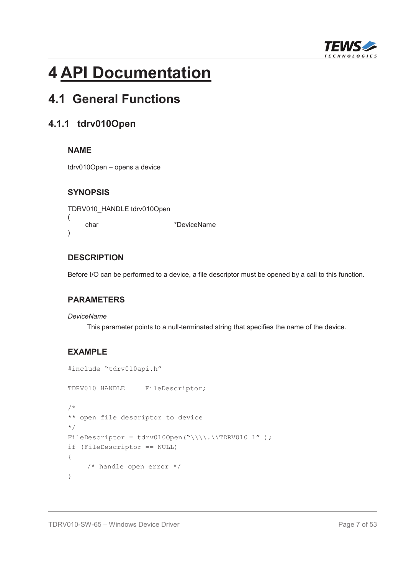

# **4 API Documentation**

## **4.1 General Functions**

## **4.1.1 tdrv010Open**

## **NAME**

tdrv010Open – opens a device

## **SYNOPSIS**

TDRV010\_HANDLE tdrv010Open ( char \*DeviceName )

## **DESCRIPTION**

Before I/O can be performed to a device, a file descriptor must be opened by a call to this function.

#### **PARAMETERS**

#### *DeviceName*

This parameter points to a null-terminated string that specifies the name of the device.

## **EXAMPLE**

```
#include "tdrv010api.h"
TDRV010_HANDLE FileDescriptor;
/*
** open file descriptor to device
*/
FileDescriptor = tdrv0100pen("\\\\.\\TDRV010_1");
if (FileDescriptor == NULL)
{
    /* handle open error */
}
```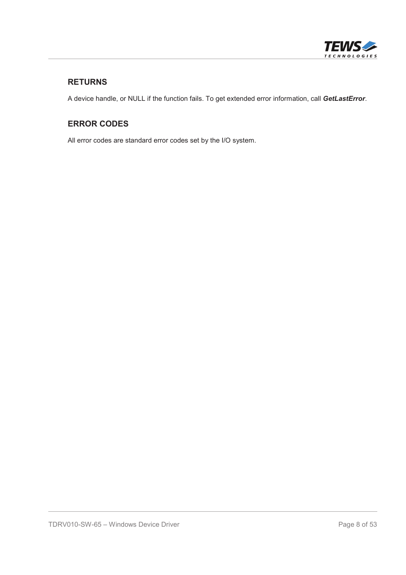

## **RETURNS**

A device handle, or NULL if the function fails. To get extended error information, call *GetLastError*.

## **ERROR CODES**

All error codes are standard error codes set by the I/O system.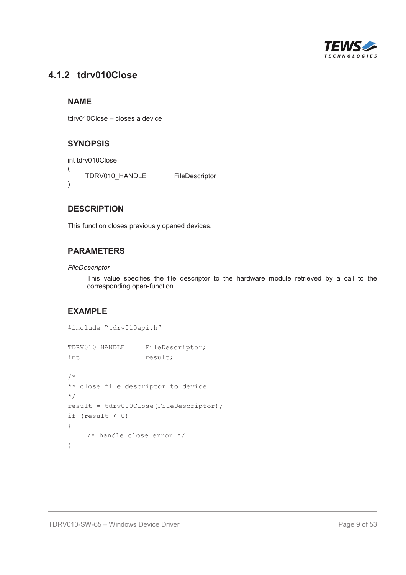

## **4.1.2 tdrv010Close**

## **NAME**

tdrv010Close – closes a device

## **SYNOPSIS**

```
int tdrv010Close
(
    TDRV010_HANDLE FileDescriptor
)
```
## **DESCRIPTION**

This function closes previously opened devices.

#### **PARAMETERS**

#### *FileDescriptor*

This value specifies the file descriptor to the hardware module retrieved by a call to the corresponding open-function.

## **EXAMPLE**

```
#include "tdrv010api.h"
TDRV010 HANDLE FileDescriptor;
int result;
/*
** close file descriptor to device
*/
result = tdrv010Close(FileDescriptor);
if (result \langle 0 \rangle{
    /* handle close error */
}
```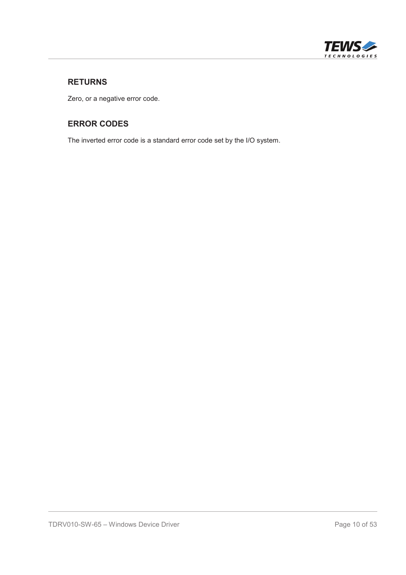

## **RETURNS**

Zero, or a negative error code.

## **ERROR CODES**

The inverted error code is a standard error code set by the I/O system.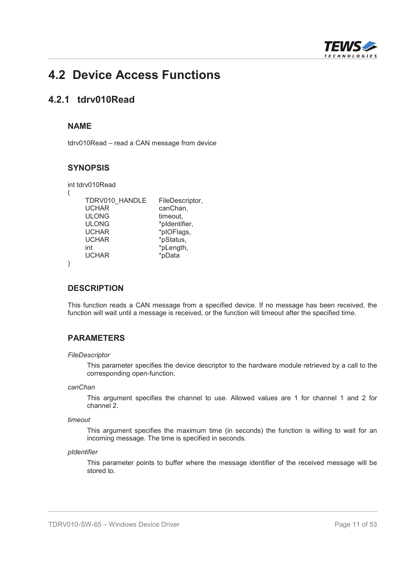

## **4.2 Device Access Functions**

## **4.2.1 tdrv010Read**

#### **NAME**

tdrv010Read – read a CAN message from device

#### **SYNOPSIS**

| int tdrv010Read |                 |
|-----------------|-----------------|
|                 |                 |
| TDRV010_HANDLE  | FileDescriptor, |
| <b>UCHAR</b>    | canChan,        |
| <b>ULONG</b>    | timeout,        |
| <b>ULONG</b>    | *pldentifier,   |
| <b>UCHAR</b>    | *plOFlags,      |
| <b>UCHAR</b>    | *pStatus,       |
| int             | *pLength,       |
| <b>UCHAR</b>    | *pData          |
|                 |                 |

#### **DESCRIPTION**

This function reads a CAN message from a specified device. If no message has been received, the function will wait until a message is received, or the function will timeout after the specified time.

#### **PARAMETERS**

#### *FileDescriptor*

This parameter specifies the device descriptor to the hardware module retrieved by a call to the corresponding open-function.

#### *canChan*

This argument specifies the channel to use. Allowed values are 1 for channel 1 and 2 for channel 2.

#### *timeout*

This argument specifies the maximum time (in seconds) the function is willing to wait for an incoming message. The time is specified in seconds.

#### *pIdentifier*

This parameter points to buffer where the message identifier of the received message will be stored to.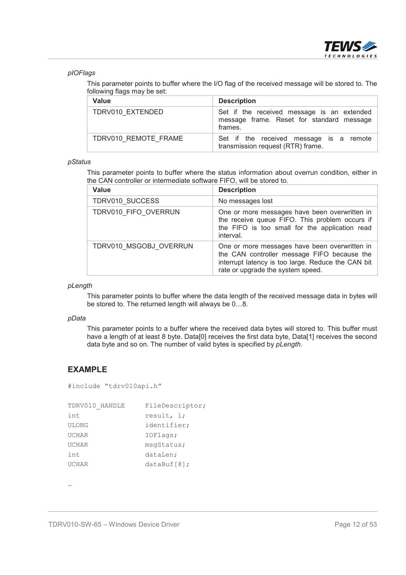

#### *pIOFlags*

This parameter points to buffer where the I/O flag of the received message will be stored to. The following flags may be set:

| <b>Value</b>         | <b>Description</b>                                                                                 |
|----------------------|----------------------------------------------------------------------------------------------------|
| TDRV010 EXTENDED     | Set if the received message is an extended<br>message frame. Reset for standard message<br>frames. |
| TDRV010 REMOTE FRAME | Set if the received message is a remote<br>transmission request (RTR) frame.                       |

#### *pStatus*

This parameter points to buffer where the status information about overrun condition, either in the CAN controller or intermediate software FIFO, will be stored to.

| <b>Value</b>           | <b>Description</b>                                                                                                                                                                      |
|------------------------|-----------------------------------------------------------------------------------------------------------------------------------------------------------------------------------------|
| TDRV010 SUCCESS        | No messages lost                                                                                                                                                                        |
| TDRV010 FIFO OVERRUN   | One or more messages have been overwritten in<br>the receive queue FIFO. This problem occurs if<br>the FIFO is too small for the application read<br>interval.                          |
| TDRV010 MSGOBJ OVERRUN | One or more messages have been overwritten in<br>the CAN controller message FIFO because the<br>interrupt latency is too large. Reduce the CAN bit<br>rate or upgrade the system speed. |

*pLength*

This parameter points to buffer where the data length of the received message data in bytes will be stored to. The returned length will always be 0…8.

#### *pData*

This parameter points to a buffer where the received data bytes will stored to. This buffer must have a length of at least 8 byte. Data[0] receives the first data byte, Data[1] receives the second data byte and so on. The number of valid bytes is specified by *pLength*.

#### **EXAMPLE**

```
#include "tdrv010api.h"
```

| TDRV010 HANDLE | FileDescriptor; |
|----------------|-----------------|
| int            | result, i;      |
| <b>ULONG</b>   | identifier;     |
| UCHAR          | IOFlags;        |
| <b>UCHAR</b>   | msqStatus;      |
| int            | dataLen;        |
| <b>UCHAR</b>   | $dataBuf[8]$ ;  |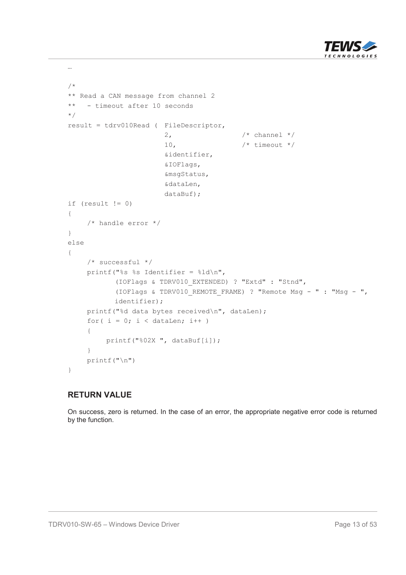

```
…
/*
** Read a CAN message from channel 2
** - timeout after 10 seconds
*/
result = tdrv010Read ( FileDescriptor,
                        2, \qquad \qquad /* channel */
                        10, \frac{1}{\sqrt{2}} /* timeout */
                        &identifier,
                        &IOFlags,
                        &msgStatus,
                        &dataLen,
                        dataBuf);
if (result != 0)
{
    /* handle error */
}
else
{
    /* successful */
    printf("%s %s Identifier = d\ln",
           (IOFlags & TDRV010_EXTENDED) ? "Extd" : "Stnd",
           (IOFlags & TDRV010_REMOTE_FRAME) ? "Remote Msg-": "Msg - ",
           identifier);
    printf("%d data bytes received\n", dataLen);
    for( i = 0; i < dataLen; i++ )
     {
         printf("%02X ", dataBuf[i]);
     }
    printf("\n")
}
```
On success, zero is returned. In the case of an error, the appropriate negative error code is returned by the function.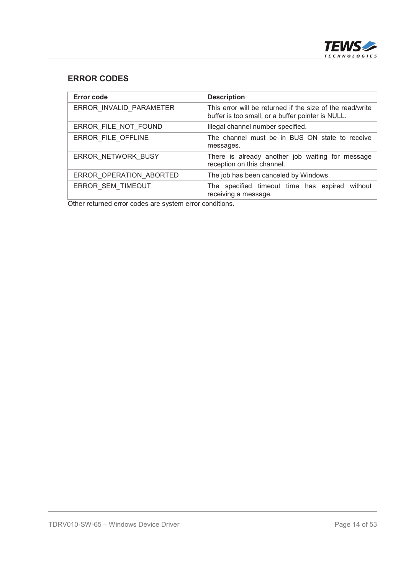

## **ERROR CODES**

| <b>Error code</b>       | <b>Description</b>                                                                                             |
|-------------------------|----------------------------------------------------------------------------------------------------------------|
| ERROR_INVALID_PARAMETER | This error will be returned if the size of the read/write<br>buffer is too small, or a buffer pointer is NULL. |
| ERROR FILE NOT FOUND    | Illegal channel number specified.                                                                              |
| ERROR FILE OFFLINE      | The channel must be in BUS ON state to receive<br>messages.                                                    |
| ERROR NETWORK BUSY      | There is already another job waiting for message<br>reception on this channel.                                 |
| ERROR OPERATION ABORTED | The job has been canceled by Windows.                                                                          |
| ERROR SEM TIMEOUT       | The specified timeout time has expired without<br>receiving a message.                                         |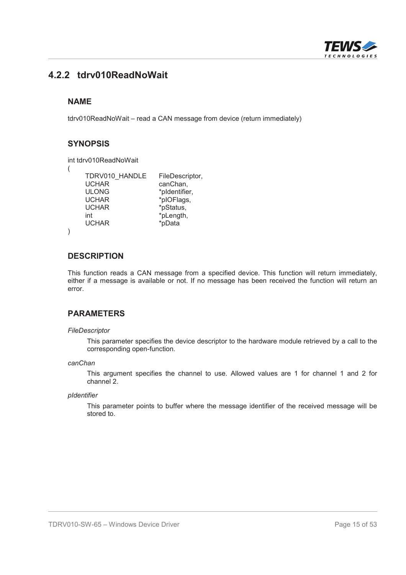

## **4.2.2 tdrv010ReadNoWait**

#### **NAME**

tdrv010ReadNoWait – read a CAN message from device (return immediately)

#### **SYNOPSIS**

```
int tdrv010ReadNoWait
```

```
(
```
)

```
TDRV010_HANDLE FileDescriptor,<br>UCHAR canChan.
UCHAR canChan,<br>ULONG *pldentifie
                     *pIdentifier.
UCHAR *plOFlags,<br>UCHAR *pStatus,
                     *pStatus,
int *pLength,
UCHAR *pData
```
#### **DESCRIPTION**

This function reads a CAN message from a specified device. This function will return immediately, either if a message is available or not. If no message has been received the function will return an error.

#### **PARAMETERS**

#### *FileDescriptor*

This parameter specifies the device descriptor to the hardware module retrieved by a call to the corresponding open-function.

#### *canChan*

This argument specifies the channel to use. Allowed values are 1 for channel 1 and 2 for channel 2.

#### *pIdentifier*

This parameter points to buffer where the message identifier of the received message will be stored to.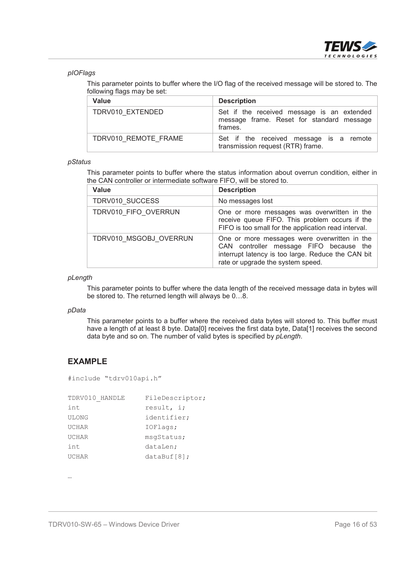

#### *pIOFlags*

This parameter points to buffer where the I/O flag of the received message will be stored to. The following flags may be set:

| <b>Value</b>         | <b>Description</b>                                                                                 |
|----------------------|----------------------------------------------------------------------------------------------------|
| TDRV010 EXTENDED     | Set if the received message is an extended<br>message frame. Reset for standard message<br>frames. |
| TDRV010 REMOTE FRAME | Set if the received message is a remote<br>transmission request (RTR) frame.                       |

#### *pStatus*

This parameter points to buffer where the status information about overrun condition, either in the CAN controller or intermediate software FIFO, will be stored to.

| <b>Value</b>           | <b>Description</b>                                                                                                                                                                 |
|------------------------|------------------------------------------------------------------------------------------------------------------------------------------------------------------------------------|
| TDRV010 SUCCESS        | No messages lost                                                                                                                                                                   |
| TDRV010 FIFO OVERRUN   | One or more messages was overwritten in the<br>receive queue FIFO. This problem occurs if the<br>FIFO is too small for the application read interval.                              |
| TDRV010 MSGOBJ OVERRUN | One or more messages were overwritten in the<br>CAN controller message FIFO because the<br>interrupt latency is too large. Reduce the CAN bit<br>rate or upgrade the system speed. |

#### *pLength*

This parameter points to buffer where the data length of the received message data in bytes will be stored to. The returned length will always be 0…8.

#### *pData*

This parameter points to a buffer where the received data bytes will stored to. This buffer must have a length of at least 8 byte. Data[0] receives the first data byte, Data[1] receives the second data byte and so on. The number of valid bytes is specified by *pLength*.

#### **EXAMPLE**

#include "tdrv010api.h"

| TDRV010 HANDLE | FileDescriptor; |
|----------------|-----------------|
| int            | result, i;      |
| <b>ULONG</b>   | identifier;     |
| <b>UCHAR</b>   | IOFlags;        |
| <b>UCHAR</b>   | msqStatus;      |
| int            | dataLen;        |
| UCHAR          | $dataBuf[8]$ ;  |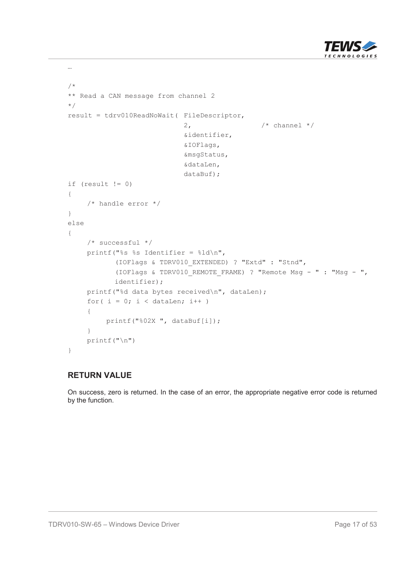

```
/*
** Read a CAN message from channel 2
*/
result = tdrv010ReadNoWait( FileDescriptor,
                            2, \frac{1}{2} /* channel */
                             &identifier,
                             &IOFlags,
                             &msgStatus,
                             &dataLen,
                             dataBuf);
if (result != 0)
{
    /* handle error */
}
else
{
    /* successful */
    printf("%s %s Identifier = %ld\n",
           (IOFlags & TDRV010_EXTENDED) ? "Extd" : "Stnd",
           (IOFlags & TDRV010_REMOTE_FRAME) ? "Remote Msg-": "Msg - ",
           identifier);
    printf("%d data bytes received\n", dataLen);
    for( i = 0; i < dataLen; i++ )
    {
         printf("%02X ", dataBuf[i]);
    }
    print(f("\n')')}
```
…

On success, zero is returned. In the case of an error, the appropriate negative error code is returned by the function.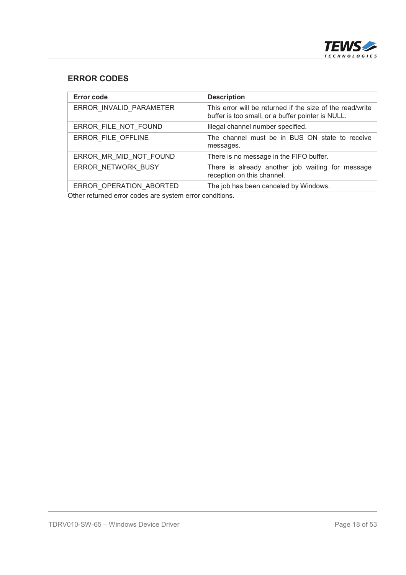

## **ERROR CODES**

| <b>Description</b>                                                                                             |
|----------------------------------------------------------------------------------------------------------------|
| This error will be returned if the size of the read/write<br>buffer is too small, or a buffer pointer is NULL. |
| Illegal channel number specified.                                                                              |
| The channel must be in BUS ON state to receive<br>messages.                                                    |
| There is no message in the FIFO buffer.                                                                        |
| There is already another job waiting for message<br>reception on this channel.                                 |
| The job has been canceled by Windows.                                                                          |
|                                                                                                                |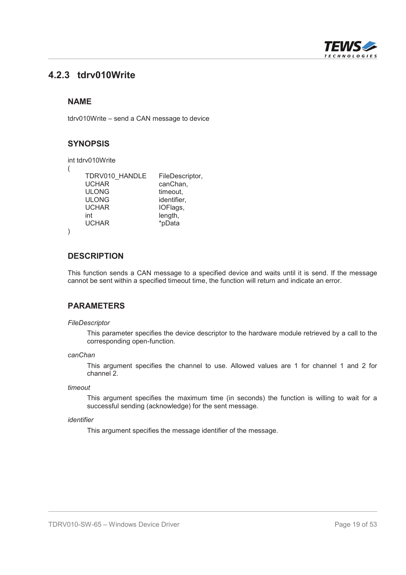

## **4.2.3 tdrv010Write**

#### **NAME**

tdrv010Write – send a CAN message to device

#### **SYNOPSIS**

```
int tdrv010Write
(
    TDRV010_HANDLE FileDescriptor,<br>UCHAR canChan,
                       canChan.
    ULONG timeout.
    ULONG identifier,<br>UCHAR IOFlags
                       IOFlags,
    int length,
    UCHAR *pData
)
```
#### **DESCRIPTION**

This function sends a CAN message to a specified device and waits until it is send. If the message cannot be sent within a specified timeout time, the function will return and indicate an error.

#### **PARAMETERS**

#### *FileDescriptor*

This parameter specifies the device descriptor to the hardware module retrieved by a call to the corresponding open-function.

#### *canChan*

This argument specifies the channel to use. Allowed values are 1 for channel 1 and 2 for channel 2.

#### *timeout*

This argument specifies the maximum time (in seconds) the function is willing to wait for a successful sending (acknowledge) for the sent message.

#### *identifier*

This argument specifies the message identifier of the message.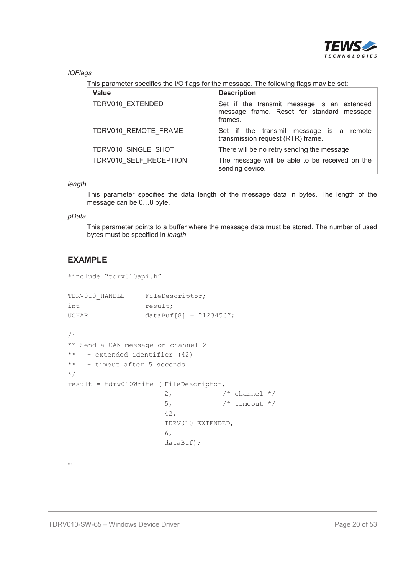

*IOFlags*

This parameter specifies the I/O flags for the message. The following flags may be set:

| <b>Value</b>           | <b>Description</b>                                                                                 |
|------------------------|----------------------------------------------------------------------------------------------------|
| TDRV010 EXTENDED       | Set if the transmit message is an extended<br>message frame. Reset for standard message<br>frames. |
| TDRV010 REMOTE FRAME   | Set if the transmit message is a remote<br>transmission request (RTR) frame.                       |
| TDRV010 SINGLE SHOT    | There will be no retry sending the message                                                         |
| TDRV010 SELF RECEPTION | The message will be able to be received on the<br>sending device.                                  |

#### *length*

This parameter specifies the data length of the message data in bytes. The length of the message can be 0…8 byte.

#### *pData*

…

This parameter points to a buffer where the message data must be stored. The number of used bytes must be specified in *length*.

## **EXAMPLE**

```
#include "tdrv010api.h"
TDRV010 HANDLE FileDescriptor;
```

```
int result;
UCHAR dataBuf[8] = "123456";
```

```
/*
** Send a CAN message on channel 2
** - extended identifier (42)
** - timout after 5 seconds
*/
result = tdrv010Write ( FileDescriptor,
                                                2, \frac{1}{2} \frac{1}{2} \frac{1}{2} \frac{1}{2} \frac{1}{2} \frac{1}{2} \frac{1}{2} \frac{1}{2} \frac{1}{2} \frac{1}{2} \frac{1}{2} \frac{1}{2} \frac{1}{2} \frac{1}{2} \frac{1}{2} \frac{1}{2} \frac{1}{2} \frac{1}{2} \frac{1}{2} \frac{1}{2} \frac{1}{2} \frac{1}{5, \frac{1}{2} /* timeout */
                                                 42,
                                                TDRV010_EXTENDED,
                                                6,
                                                dataBuf);
```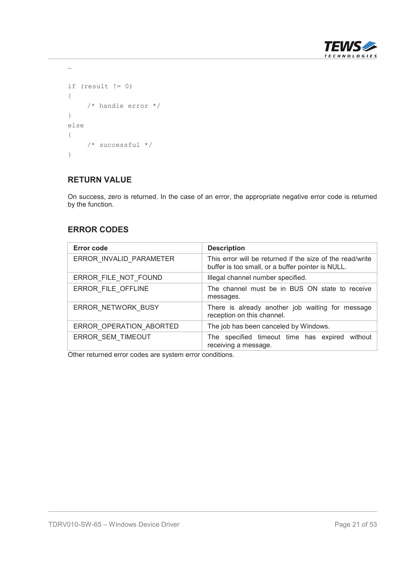

```
if (result != 0)
{
   /* handle error */
}
else
{
   /* successful */
}
```
…

#### **RETURN VALUE**

On success, zero is returned. In the case of an error, the appropriate negative error code is returned by the function.

## **ERROR CODES**

| <b>Error code</b>       | <b>Description</b>                                                                                             |  |
|-------------------------|----------------------------------------------------------------------------------------------------------------|--|
| ERROR INVALID PARAMETER | This error will be returned if the size of the read/write<br>buffer is too small, or a buffer pointer is NULL. |  |
| ERROR FILE NOT FOUND    | Illegal channel number specified.                                                                              |  |
| ERROR FILE OFFLINE      | The channel must be in BUS ON state to receive<br>messages.                                                    |  |
| ERROR NETWORK BUSY      | There is already another job waiting for message<br>reception on this channel.                                 |  |
| ERROR OPERATION ABORTED | The job has been canceled by Windows.                                                                          |  |
| ERROR_SEM_TIMEOUT       | The specified timeout time has expired without<br>receiving a message.                                         |  |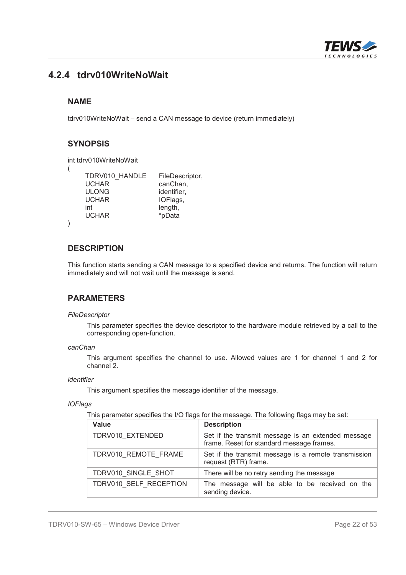

## **4.2.4 tdrv010WriteNoWait**

#### **NAME**

tdrv010WriteNoWait – send a CAN message to device (return immediately)

#### **SYNOPSIS**

```
int tdrv010WriteNoWait
```
(

)

| TDRV010 HANDLE | FileDescriptor, |
|----------------|-----------------|
| <b>UCHAR</b>   | canChan,        |
| <b>ULONG</b>   | identifier,     |
| <b>UCHAR</b>   | IOFlags,        |
| int            | length,         |
| <b>UCHAR</b>   | *pData          |
|                |                 |

#### **DESCRIPTION**

This function starts sending a CAN message to a specified device and returns. The function will return immediately and will not wait until the message is send.

#### **PARAMETERS**

#### *FileDescriptor*

This parameter specifies the device descriptor to the hardware module retrieved by a call to the corresponding open-function.

#### *canChan*

This argument specifies the channel to use. Allowed values are 1 for channel 1 and 2 for channel 2.

#### *identifier*

This argument specifies the message identifier of the message.

#### *IOFlags*

This parameter specifies the I/O flags for the message. The following flags may be set:

| Value                  | <b>Description</b>                                                                              |
|------------------------|-------------------------------------------------------------------------------------------------|
| TDRV010 EXTENDED       | Set if the transmit message is an extended message<br>frame. Reset for standard message frames. |
| TDRV010 REMOTE FRAME   | Set if the transmit message is a remote transmission<br>request (RTR) frame.                    |
| TDRV010 SINGLE SHOT    | There will be no retry sending the message                                                      |
| TDRV010 SELF RECEPTION | The message will be able to be received on the<br>sending device.                               |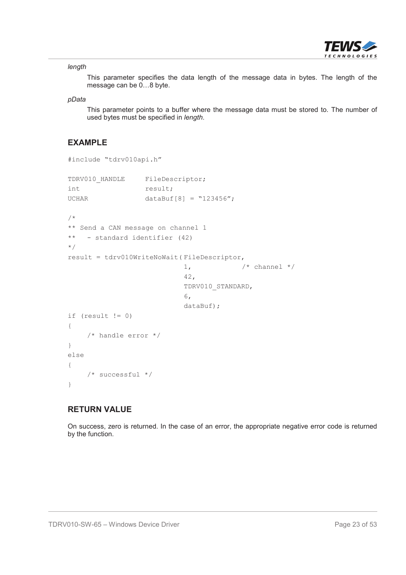

#### *length*

This parameter specifies the data length of the message data in bytes. The length of the message can be 0…8 byte.

#### *pData*

This parameter points to a buffer where the message data must be stored to. The number of used bytes must be specified in *length*.

#### **EXAMPLE**

```
#include "tdrv010api.h"
TDRV010 HANDLE FileDescriptor;
int result;
UCHAR dataBuf[8] = "123456";
/*
** Send a CAN message on channel 1
** - standard identifier (42)
*/
result = tdrv010WriteNoWait( FileDescriptor,
                           1, \frac{1}{x} channel \frac{x}{x}42,
                           TDRV010_STANDARD,
                           6,
                           dataBuf);
if (result != 0)
{
    /* handle error */
}
else
{
    /* successful */
}
```
#### **RETURN VALUE**

On success, zero is returned. In the case of an error, the appropriate negative error code is returned by the function.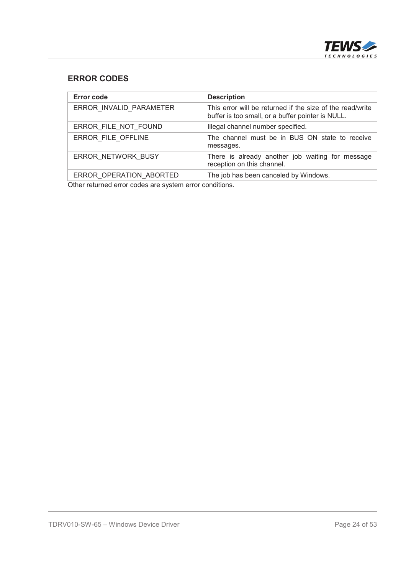

## **ERROR CODES**

| Error code              | <b>Description</b>                                                                                             |
|-------------------------|----------------------------------------------------------------------------------------------------------------|
| ERROR INVALID PARAMETER | This error will be returned if the size of the read/write<br>buffer is too small, or a buffer pointer is NULL. |
| ERROR FILE NOT FOUND    | Illegal channel number specified.                                                                              |
| ERROR FILE OFFLINE      | The channel must be in BUS ON state to receive<br>messages.                                                    |
| ERROR NETWORK BUSY      | There is already another job waiting for message<br>reception on this channel.                                 |
| ERROR OPERATION ABORTED | The job has been canceled by Windows.                                                                          |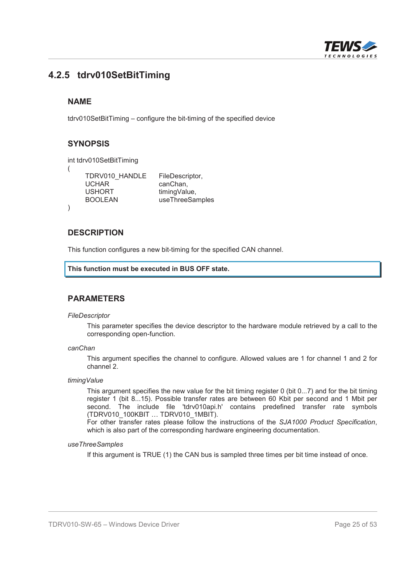

## **4.2.5 tdrv010SetBitTiming**

#### **NAME**

tdrv010SetBitTiming – configure the bit-timing of the specified device

#### **SYNOPSIS**

```
int tdrv010SetBitTiming
(
   TDRV010_HANDLE FileDescriptor,
   UCHAR canChan.
   USHORT timingValue.
   BOOLEAN useThreeSamples
)
```
#### **DESCRIPTION**

This function configures a new bit-timing for the specified CAN channel.

```
This function must be executed in BUS OFF state.
```
#### **PARAMETERS**

#### *FileDescriptor*

This parameter specifies the device descriptor to the hardware module retrieved by a call to the corresponding open-function.

#### *canChan*

This argument specifies the channel to configure. Allowed values are 1 for channel 1 and 2 for channel 2.

#### *timingValue*

This argument specifies the new value for the bit timing register 0 (bit 0...7) and for the bit timing register 1 (bit 8...15). Possible transfer rates are between 60 Kbit per second and 1 Mbit per second. The include file 'tdrv010api.h' contains predefined transfer rate symbols (TDRV010\_100KBIT … TDRV010\_1MBIT).

For other transfer rates please follow the instructions of the *SJA1000 Product Specification*, which is also part of the corresponding hardware engineering documentation.

#### *useThreeSamples*

If this argument is TRUE (1) the CAN bus is sampled three times per bit time instead of once.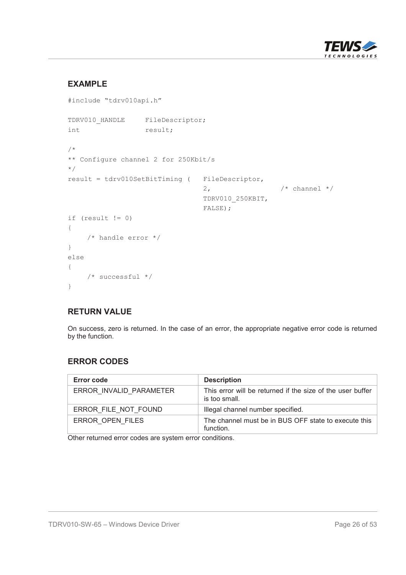

## **EXAMPLE**

```
#include "tdrv010api.h"
TDRV010 HANDLE FileDescriptor;
int result;
/*
** Configure channel 2 for 250Kbit/s
*/
result = tdrv010SetBitTiming ( FileDescriptor,
                               2, \frac{1}{2} /* channel */
                               TDRV010_250KBIT,
                               FALSE);
if (result != 0)
{
    /* handle error */
}
else
{
    /* successful */
}
```
#### **RETURN VALUE**

On success, zero is returned. In the case of an error, the appropriate negative error code is returned by the function.

## **ERROR CODES**

| Error code              | <b>Description</b>                                                          |
|-------------------------|-----------------------------------------------------------------------------|
| ERROR INVALID PARAMETER | This error will be returned if the size of the user buffer<br>is too small. |
| ERROR FILE NOT FOUND    | Illegal channel number specified.                                           |
| ERROR OPEN FILES        | The channel must be in BUS OFF state to execute this<br>function.           |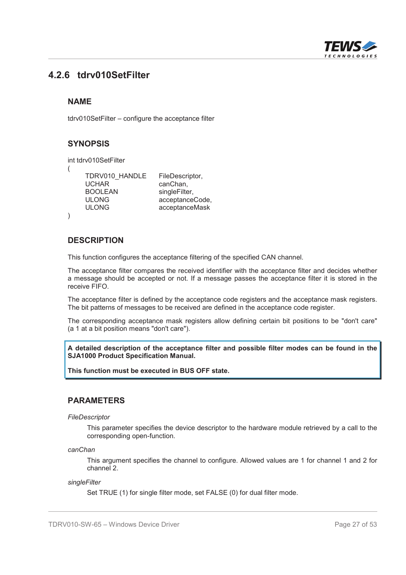

## **4.2.6 tdrv010SetFilter**

#### **NAME**

tdrv010SetFilter – configure the acceptance filter

## **SYNOPSIS**

```
int tdrv010SetFilter
```

```
(
```
)

```
UCHAR canChan.
BOOLEAN singleFilter,
```
TDRV010\_HANDLE FileDescriptor, ULONG acceptanceCode, ULONG acceptanceMask

## **DESCRIPTION**

This function configures the acceptance filtering of the specified CAN channel.

The acceptance filter compares the received identifier with the acceptance filter and decides whether a message should be accepted or not. If a message passes the acceptance filter it is stored in the receive FIFO.

The acceptance filter is defined by the acceptance code registers and the acceptance mask registers. The bit patterns of messages to be received are defined in the acceptance code register.

The corresponding acceptance mask registers allow defining certain bit positions to be "don't care" (a 1 at a bit position means "don't care").

**A detailed description of the acceptance filter and possible filter modes can be found in the SJA1000 Product Specification Manual.**

**This function must be executed in BUS OFF state.**

#### **PARAMETERS**

*FileDescriptor*

This parameter specifies the device descriptor to the hardware module retrieved by a call to the corresponding open-function.

*canChan*

This argument specifies the channel to configure. Allowed values are 1 for channel 1 and 2 for channel 2.

#### *singleFilter*

Set TRUE (1) for single filter mode, set FALSE (0) for dual filter mode.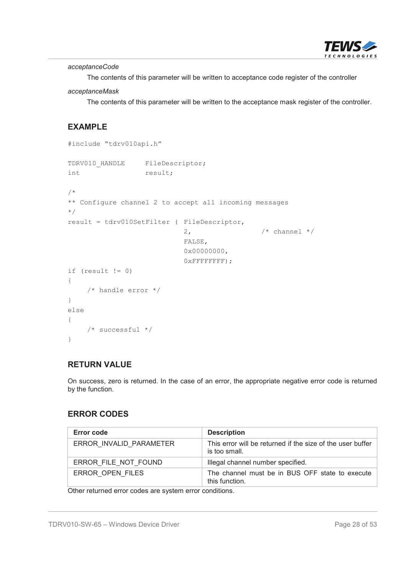

*acceptanceCode*

The contents of this parameter will be written to acceptance code register of the controller

#### *acceptanceMask*

The contents of this parameter will be written to the acceptance mask register of the controller.

## **EXAMPLE**

```
#include "tdrv010api.h"
TDRV010 HANDLE FileDescriptor;
int result;
/*
** Configure channel 2 to accept all incoming messages
*/
result = tdrv010SetFilter ( FileDescriptor,
                                                2, \frac{1}{2} \frac{1}{2} \frac{1}{2} \frac{1}{2} \frac{1}{2} \frac{1}{2} \frac{1}{2} \frac{1}{2} \frac{1}{2} \frac{1}{2} \frac{1}{2} \frac{1}{2} \frac{1}{2} \frac{1}{2} \frac{1}{2} \frac{1}{2} \frac{1}{2} \frac{1}{2} \frac{1}{2} \frac{1}{2} \frac{1}{2} \frac{1}{FALSE,
                                                0x00000000,
                                                0xFFFFFFFF);
if (result != 0)
{
       /* handle error */
}
else
{
       /* successful */
}
```
## **RETURN VALUE**

On success, zero is returned. In the case of an error, the appropriate negative error code is returned by the function.

## **ERROR CODES**

| Error code              | <b>Description</b>                                                          |
|-------------------------|-----------------------------------------------------------------------------|
| ERROR INVALID PARAMETER | This error will be returned if the size of the user buffer<br>is too small. |
| ERROR FILE NOT FOUND    | Illegal channel number specified.                                           |
| ERROR OPEN FILES        | The channel must be in BUS OFF state to execute<br>this function.           |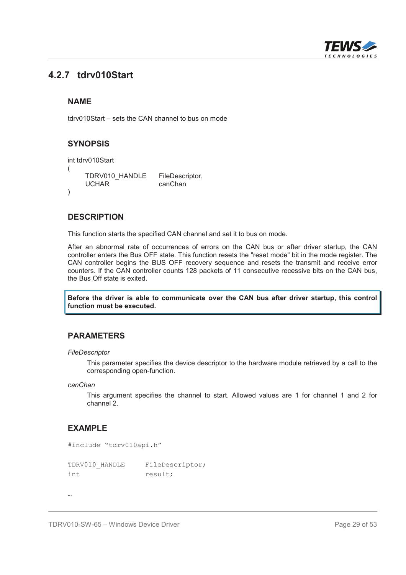

## **4.2.7 tdrv010Start**

#### **NAME**

tdrv010Start – sets the CAN channel to bus on mode

## **SYNOPSIS**

```
int tdrv010Start
(
    TDRV010_HANDLE FileDescriptor,
    UCHAR canChan
)
```
#### **DESCRIPTION**

This function starts the specified CAN channel and set it to bus on mode.

After an abnormal rate of occurrences of errors on the CAN bus or after driver startup, the CAN controller enters the Bus OFF state. This function resets the "reset mode" bit in the mode register. The CAN controller begins the BUS OFF recovery sequence and resets the transmit and receive error counters. If the CAN controller counts 128 packets of 11 consecutive recessive bits on the CAN bus, the Bus Off state is exited.

**Before the driver is able to communicate over the CAN bus after driver startup, this control function must be executed.**

#### **PARAMETERS**

#### *FileDescriptor*

This parameter specifies the device descriptor to the hardware module retrieved by a call to the corresponding open-function.

#### *canChan*

This argument specifies the channel to start. Allowed values are 1 for channel 1 and 2 for channel 2.

#### **EXAMPLE**

```
#include "tdrv010api.h"
TDRV010_HANDLE FileDescriptor;
int result;
```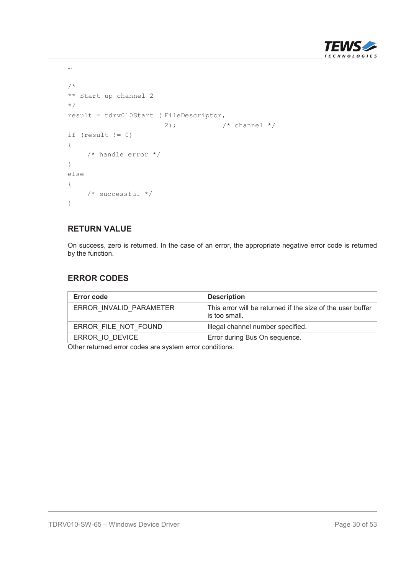

```
/*
** Start up channel 2
*/
result = tdrv010Start ( FileDescriptor,
                      2); /* channel * /if (result != 0)
{
    /* handle error */
}
else
{
   /* successful */
}
```
…

On success, zero is returned. In the case of an error, the appropriate negative error code is returned by the function.

## **ERROR CODES**

| Error code              | <b>Description</b>                                                          |
|-------------------------|-----------------------------------------------------------------------------|
| ERROR INVALID PARAMETER | This error will be returned if the size of the user buffer<br>is too small. |
| ERROR FILE NOT FOUND    | Illegal channel number specified.                                           |
| ERROR IO DEVICE         | Error during Bus On sequence.                                               |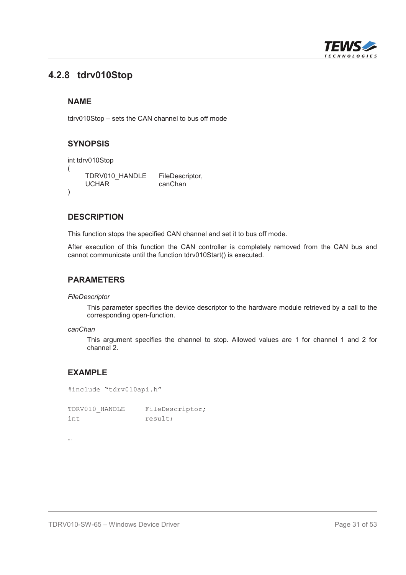

## **4.2.8 tdrv010Stop**

#### **NAME**

tdrv010Stop – sets the CAN channel to bus off mode

## **SYNOPSIS**

```
int tdrv010Stop
(
    TDRV010_HANDLE FileDescriptor,
    UCHAR canChan
)
```
## **DESCRIPTION**

This function stops the specified CAN channel and set it to bus off mode.

After execution of this function the CAN controller is completely removed from the CAN bus and cannot communicate until the function tdrv010Start() is executed.

#### **PARAMETERS**

*FileDescriptor*

This parameter specifies the device descriptor to the hardware module retrieved by a call to the corresponding open-function.

#### *canChan*

This argument specifies the channel to stop. Allowed values are 1 for channel 1 and 2 for channel 2.

## **EXAMPLE**

#include "tdrv010api.h"

TDRV010 HANDLE FileDescriptor; int result;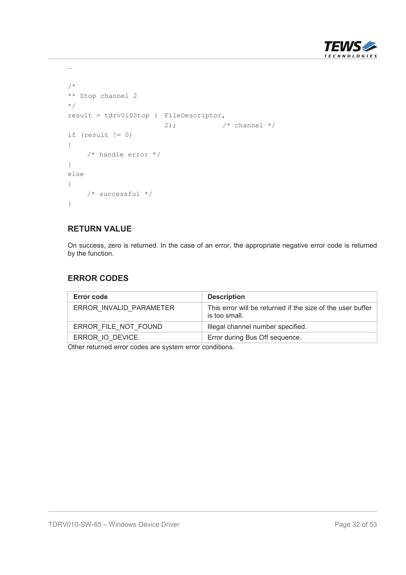

```
/*
** Stop channel 2
*/
result = tdrv010Stop ( FileDescriptor,
                      2); /* channel * /if (result != 0)
{
    /* handle error */
}
else
{
   /* successful */
}
```
…

On success, zero is returned. In the case of an error, the appropriate negative error code is returned by the function.

## **ERROR CODES**

| Error code              | <b>Description</b>                                                          |
|-------------------------|-----------------------------------------------------------------------------|
| ERROR INVALID PARAMETER | This error will be returned if the size of the user buffer<br>is too small. |
| ERROR FILE NOT FOUND    | Illegal channel number specified.                                           |
| ERROR IO DEVICE         | Error during Bus Off sequence.                                              |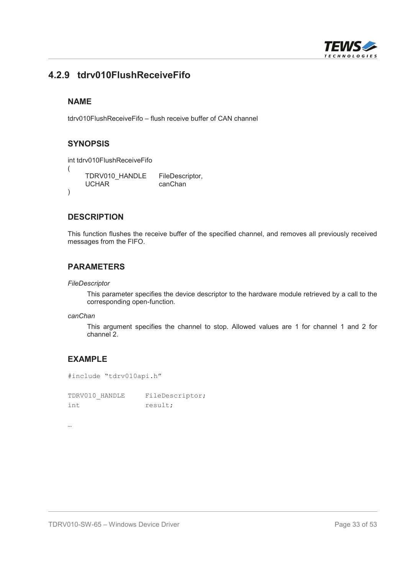

## **4.2.9 tdrv010FlushReceiveFifo**

#### **NAME**

tdrv010FlushReceiveFifo – flush receive buffer of CAN channel

#### **SYNOPSIS**

int tdrv010FlushReceiveFifo

```
(
      TDRV010_HANDLE FileDescriptor,<br>UCHAR canChan
                                canChan
)
```
#### **DESCRIPTION**

This function flushes the receive buffer of the specified channel, and removes all previously received messages from the FIFO.

#### **PARAMETERS**

#### *FileDescriptor*

This parameter specifies the device descriptor to the hardware module retrieved by a call to the corresponding open-function.

#### *canChan*

This argument specifies the channel to stop. Allowed values are 1 for channel 1 and 2 for channel 2.

## **EXAMPLE**

#include "tdrv010api.h"

TDRV010 HANDLE FileDescriptor; int result;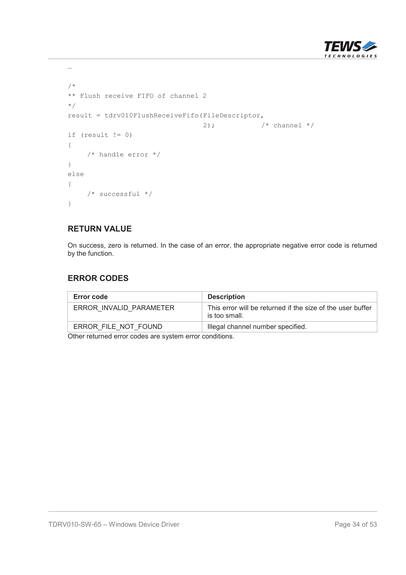

```
/*
** Flush receive FIFO of channel 2
*/
result = tdrv010FlushReceiveFifo(FileDescriptor,
                                  2); \frac{1}{2} /* channel */
if (result != 0)
{
    /* handle error */
}
else
{
   /* successful */
}
```
…

On success, zero is returned. In the case of an error, the appropriate negative error code is returned by the function.

## **ERROR CODES**

| <b>Description</b>                                                          |
|-----------------------------------------------------------------------------|
| This error will be returned if the size of the user buffer<br>is too small. |
| Illegal channel number specified.                                           |
|                                                                             |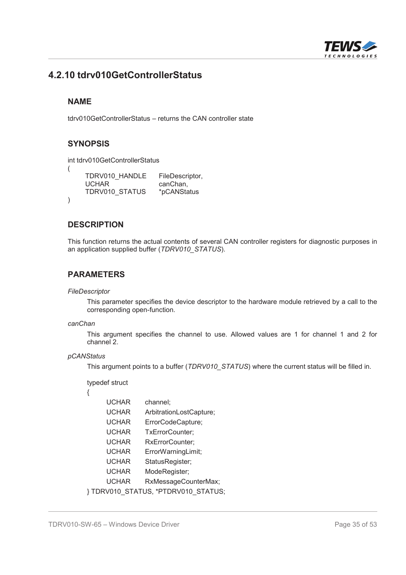

## **4.2.10 tdrv010GetControllerStatus**

#### **NAME**

(

)

tdrv010GetControllerStatus – returns the CAN controller state

#### **SYNOPSIS**

int tdrv010GetControllerStatus

TDRV010\_HANDLE FileDescriptor, UCHAR canChan, TDRV010\_STATUS \*pCANStatus

#### **DESCRIPTION**

This function returns the actual contents of several CAN controller registers for diagnostic purposes in an application supplied buffer (*TDRV010\_STATUS*).

#### **PARAMETERS**

*FileDescriptor*

This parameter specifies the device descriptor to the hardware module retrieved by a call to the corresponding open-function.

#### *canChan*

This argument specifies the channel to use. Allowed values are 1 for channel 1 and 2 for channel 2.

#### *pCANStatus*

This argument points to a buffer (*TDRV010\_STATUS*) where the current status will be filled in.

#### typedef struct

{

UCHAR channel; UCHAR ArbitrationLostCapture; UCHAR ErrorCodeCapture; UCHAR TxErrorCounter; UCHAR RxErrorCounter; UCHAR ErrorWarningLimit; UCHAR StatusRegister; UCHAR ModeRegister; UCHAR RxMessageCounterMax; } TDRV010\_STATUS, \*PTDRV010\_STATUS;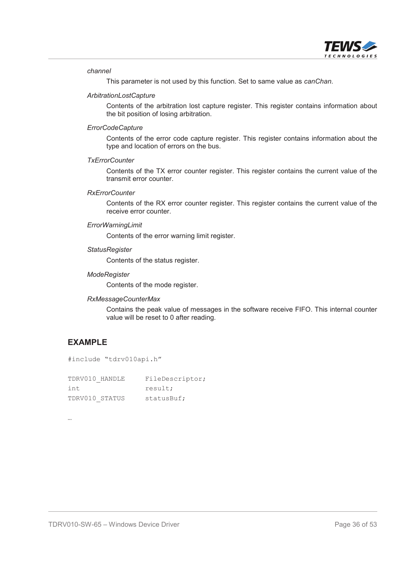

#### *channel*

This parameter is not used by this function. Set to same value as *canChan*.

#### *ArbitrationLostCapture*

Contents of the arbitration lost capture register. This register contains information about the bit position of losing arbitration.

#### *ErrorCodeCapture*

Contents of the error code capture register. This register contains information about the type and location of errors on the bus.

#### *TxErrorCounter*

Contents of the TX error counter register. This register contains the current value of the transmit error counter.

#### *RxErrorCounter*

Contents of the RX error counter register. This register contains the current value of the receive error counter.

#### *ErrorWarningLimit*

Contents of the error warning limit register.

#### *StatusRegister*

Contents of the status register.

#### *ModeRegister*

Contents of the mode register.

#### *RxMessageCounterMax*

Contains the peak value of messages in the software receive FIFO. This internal counter value will be reset to 0 after reading.

#### **EXAMPLE**

#include "tdrv010api.h"

| TDRV010 HANDLE | FileDescriptor; |
|----------------|-----------------|
| int.           | result;         |
| TDRV010 STATUS | statusBuf;      |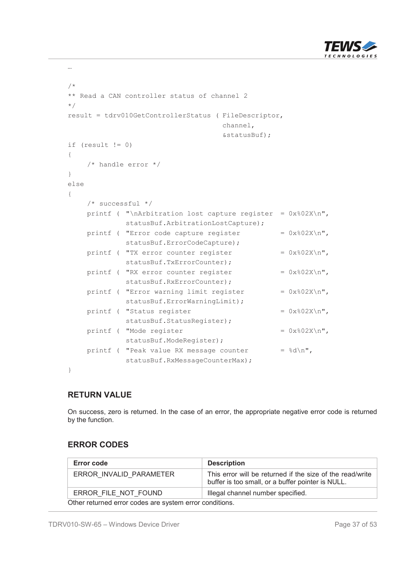

```
/*
** Read a CAN controller status of channel 2
*/
result = tdrv010GetControllerStatus ( FileDescriptor,
                                     channel,
                                     &statusBuf);
if (result != 0)
{
    /* handle error */
}
else
{
    /* successful */
    printf ( "\nArbitration lost capture register = 0x\cdot02X\n",
             statusBuf.ArbitrationLostCapture);
    printf ( "Error code capture register = 0x\frac{802X}{n},
             statusBuf.ErrorCodeCapture);
    printf ( "TX error counter register = 0x\frac{2}{\lambda}n",
             statusBuf.TxErrorCounter);
    printf ( "RX error counter register = 0x\frac{2}{\alpha}",
             statusBuf.RxErrorCounter);
    printf ( "Error warning limit register = 0x\frac{2}{\lambda}n",
             statusBuf.ErrorWarningLimit);
    printf ( "Status register = 0x\frac{2}{\lambda}n",
             statusBuf.StatusRegister);
    printf ( "Mode register = 0x\frac{2}{\lambda}n",
             statusBuf.ModeRegister);
    printf ( "Peak value RX message counter = \frac{1}{6}d\pi",
             statusBuf.RxMessageCounterMax);
```
}

…

#### **RETURN VALUE**

On success, zero is returned. In the case of an error, the appropriate negative error code is returned by the function.

## **ERROR CODES**

| <b>Error code</b>                                         | <b>Description</b>                                                                                             |
|-----------------------------------------------------------|----------------------------------------------------------------------------------------------------------------|
| ERROR INVALID PARAMETER                                   | This error will be returned if the size of the read/write<br>buffer is too small, or a buffer pointer is NULL. |
| ERROR FILE NOT FOUND<br>Illegal channel number specified. |                                                                                                                |
| Other returned error codes are system error conditions.   |                                                                                                                |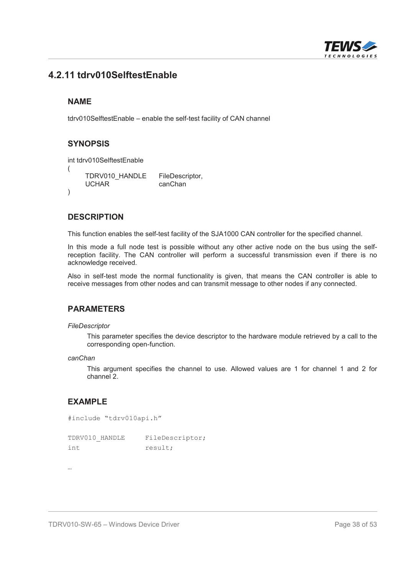

## **4.2.11 tdrv010SelftestEnable**

#### **NAME**

tdrv010SelftestEnable – enable the self-test facility of CAN channel

## **SYNOPSIS**

```
int tdrv010SelftestEnable
(
    TDRV010_HANDLE FileDescriptor,
    UCHAR canChan
)
```
#### **DESCRIPTION**

This function enables the self-test facility of the SJA1000 CAN controller for the specified channel.

In this mode a full node test is possible without any other active node on the bus using the selfreception facility. The CAN controller will perform a successful transmission even if there is no acknowledge received.

Also in self-test mode the normal functionality is given, that means the CAN controller is able to receive messages from other nodes and can transmit message to other nodes if any connected.

#### **PARAMETERS**

#### *FileDescriptor*

This parameter specifies the device descriptor to the hardware module retrieved by a call to the corresponding open-function.

*canChan*

This argument specifies the channel to use. Allowed values are 1 for channel 1 and 2 for channel 2.

#### **EXAMPLE**

```
#include "tdrv010api.h"
```

| TDRV010 HANDLE |  | FileDescriptor; |
|----------------|--|-----------------|
| int.           |  | result;         |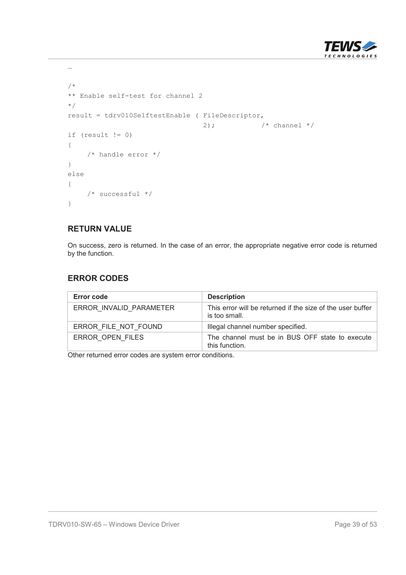

```
/*
** Enable self-test for channel 2
*/
result = tdrv010SelftestEnable ( FileDescriptor,
                                  2); \frac{1}{2} /* channel */
if (result != 0)
{
    /* handle error */
}
else
{
   /* successful */
}
```
…

On success, zero is returned. In the case of an error, the appropriate negative error code is returned by the function.

## **ERROR CODES**

| Error code              | <b>Description</b>                                                          |
|-------------------------|-----------------------------------------------------------------------------|
| ERROR INVALID PARAMETER | This error will be returned if the size of the user buffer<br>is too small. |
| ERROR FILE NOT FOUND    | Illegal channel number specified.                                           |
| ERROR OPEN FILES        | The channel must be in BUS OFF state to execute<br>this function.           |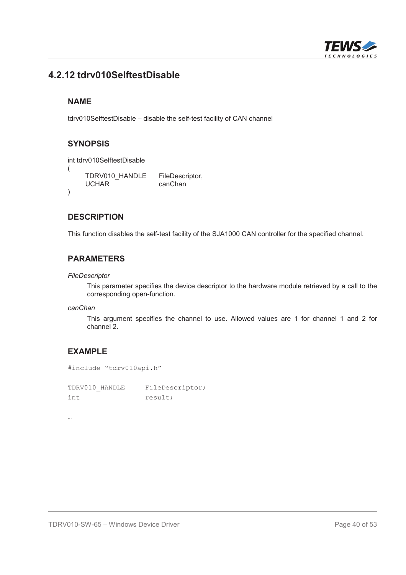

## **4.2.12 tdrv010SelftestDisable**

#### **NAME**

tdrv010SelftestDisable – disable the self-test facility of CAN channel

## **SYNOPSIS**

int tdrv010SelftestDisable

```
(
      TDRV010_HANDLE FileDescriptor,<br>UCHAR canChan
                                canChan
)
```
## **DESCRIPTION**

This function disables the self-test facility of the SJA1000 CAN controller for the specified channel.

## **PARAMETERS**

*FileDescriptor*

This parameter specifies the device descriptor to the hardware module retrieved by a call to the corresponding open-function.

*canChan*

This argument specifies the channel to use. Allowed values are 1 for channel 1 and 2 for channel 2.

## **EXAMPLE**

```
#include "tdrv010api.h"
```
TDRV010 HANDLE FileDescriptor; int result;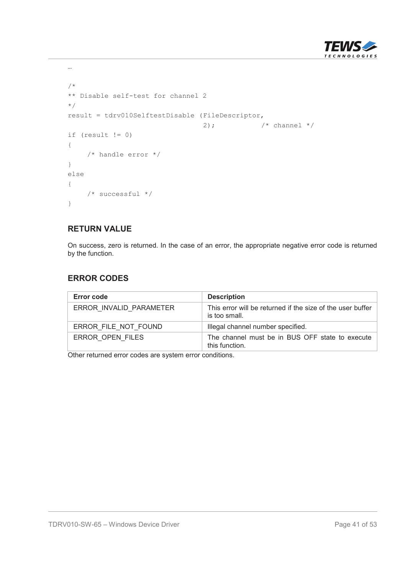

```
/*
** Disable self-test for channel 2
*/
result = tdrv010SelftestDisable (FileDescriptor,
                                 2); \frac{1}{2} /* channel */
if (result != 0)
{
    /* handle error */
}
else
{
   /* successful */
}
```
…

On success, zero is returned. In the case of an error, the appropriate negative error code is returned by the function.

## **ERROR CODES**

| Error code              | <b>Description</b>                                                          |
|-------------------------|-----------------------------------------------------------------------------|
| ERROR INVALID PARAMETER | This error will be returned if the size of the user buffer<br>is too small. |
| ERROR FILE NOT FOUND    | Illegal channel number specified.                                           |
| ERROR OPEN FILES        | The channel must be in BUS OFF state to execute<br>this function.           |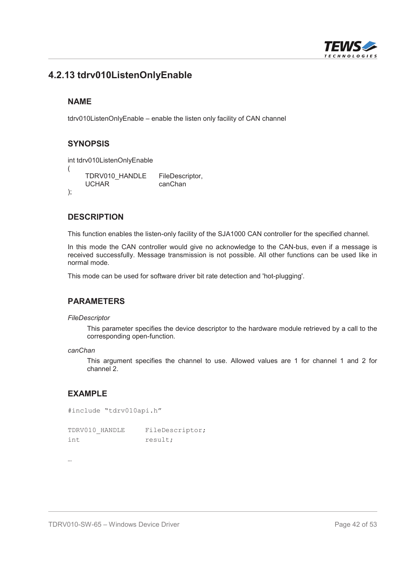

## **4.2.13 tdrv010ListenOnlyEnable**

#### **NAME**

tdrv010ListenOnlyEnable – enable the listen only facility of CAN channel

## **SYNOPSIS**

int tdrv010ListenOnlyEnable (

TDRV010\_HANDLE FileDescriptor, UCHAR canChan );

## **DESCRIPTION**

This function enables the listen-only facility of the SJA1000 CAN controller for the specified channel.

In this mode the CAN controller would give no acknowledge to the CAN-bus, even if a message is received successfully. Message transmission is not possible. All other functions can be used like in normal mode.

This mode can be used for software driver bit rate detection and 'hot-plugging'.

#### **PARAMETERS**

#### *FileDescriptor*

This parameter specifies the device descriptor to the hardware module retrieved by a call to the corresponding open-function.

```
canChan
```
This argument specifies the channel to use. Allowed values are 1 for channel 1 and 2 for channel 2.

## **EXAMPLE**

```
#include "tdrv010api.h"
```
TDRV010 HANDLE FileDescriptor; int result;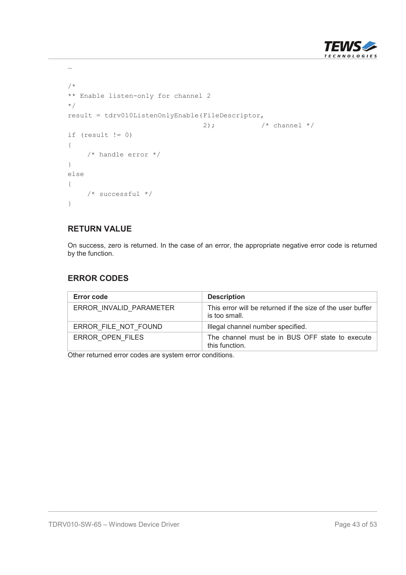

```
/*
** Enable listen-only for channel 2
*/
result = tdrv010ListenOnlyEnable(FileDescriptor,
                                  2); \frac{1}{2} /* channel */
if (result != 0)
{
    /* handle error */
}
else
{
   /* successful */
}
```
…

On success, zero is returned. In the case of an error, the appropriate negative error code is returned by the function.

## **ERROR CODES**

| Error code              | <b>Description</b>                                                          |
|-------------------------|-----------------------------------------------------------------------------|
| ERROR INVALID PARAMETER | This error will be returned if the size of the user buffer<br>is too small. |
| ERROR FILE NOT FOUND    | Illegal channel number specified.                                           |
| ERROR OPEN FILES        | The channel must be in BUS OFF state to execute<br>this function.           |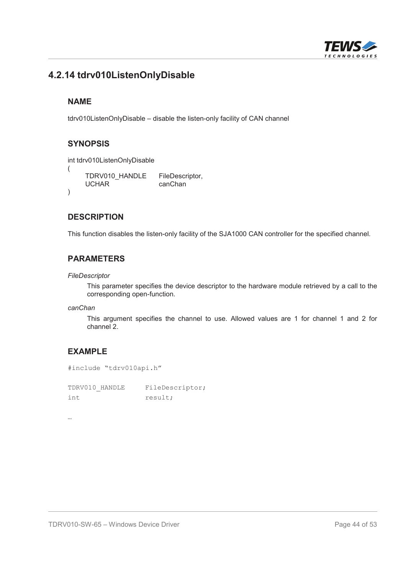

## **4.2.14 tdrv010ListenOnlyDisable**

#### **NAME**

tdrv010ListenOnlyDisable – disable the listen-only facility of CAN channel

## **SYNOPSIS**

int tdrv010ListenOnlyDisable

```
(
   TDRV010_HANDLE FileDescriptor,
   UCHAR canChan
)
```
## **DESCRIPTION**

This function disables the listen-only facility of the SJA1000 CAN controller for the specified channel.

## **PARAMETERS**

*FileDescriptor*

This parameter specifies the device descriptor to the hardware module retrieved by a call to the corresponding open-function.

*canChan*

This argument specifies the channel to use. Allowed values are 1 for channel 1 and 2 for channel 2.

## **EXAMPLE**

```
#include "tdrv010api.h"
```
TDRV010 HANDLE FileDescriptor; int result;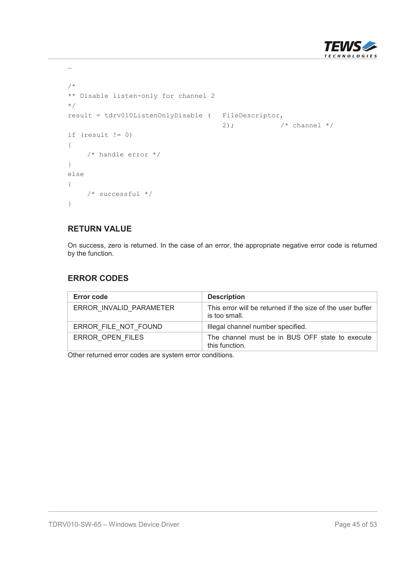

```
/*
** Disable listen-only for channel 2
*/
result = tdrv010ListenOnlyDisable ( FileDescriptor,
                                      2); \frac{1}{2} /* channel */
if (result != 0)
{
    /* handle error */
}
else
{
   /* successful */
}
```
…

On success, zero is returned. In the case of an error, the appropriate negative error code is returned by the function.

## **ERROR CODES**

| Error code              | <b>Description</b>                                                          |
|-------------------------|-----------------------------------------------------------------------------|
| ERROR INVALID PARAMETER | This error will be returned if the size of the user buffer<br>is too small. |
| ERROR FILE NOT FOUND    | Illegal channel number specified.                                           |
| ERROR OPEN FILES        | The channel must be in BUS OFF state to execute<br>this function.           |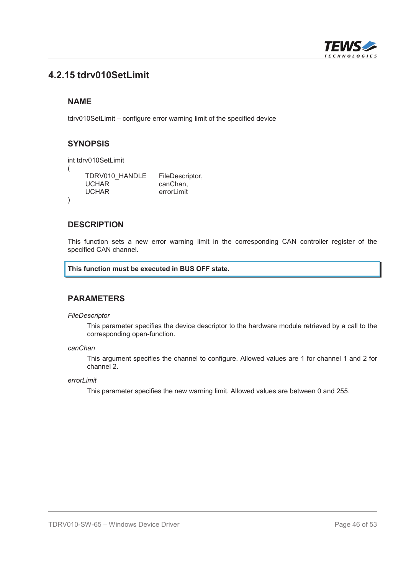

## **4.2.15 tdrv010SetLimit**

#### **NAME**

tdrv010SetLimit – configure error warning limit of the specified device

#### **SYNOPSIS**

```
int tdrv010SetLimit
(
      TDRV010_HANDLE FileDescriptor,<br>UCHAR canChan.
      UCHAR canChan,<br>UCHAR errorLimit
                                 errorLimit
)
```
#### **DESCRIPTION**

This function sets a new error warning limit in the corresponding CAN controller register of the specified CAN channel.

#### **This function must be executed in BUS OFF state.**

#### **PARAMETERS**

#### *FileDescriptor*

This parameter specifies the device descriptor to the hardware module retrieved by a call to the corresponding open-function.

#### *canChan*

This argument specifies the channel to configure. Allowed values are 1 for channel 1 and 2 for channel 2.

*errorLimit*

This parameter specifies the new warning limit. Allowed values are between 0 and 255.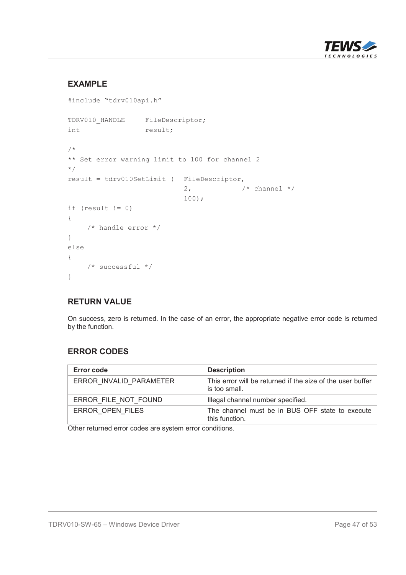

## **EXAMPLE**

```
#include "tdrv010api.h"
TDRV010 HANDLE FileDescriptor;
int result;
/*
** Set error warning limit to 100 for channel 2
*/
result = tdrv010SetLimit ( FileDescriptor,
                                                  2, \frac{1}{2} \frac{1}{2} \frac{1}{2} \frac{1}{2} \frac{1}{2} \frac{1}{2} \frac{1}{2} \frac{1}{2} \frac{1}{2} \frac{1}{2} \frac{1}{2} \frac{1}{2} \frac{1}{2} \frac{1}{2} \frac{1}{2} \frac{1}{2} \frac{1}{2} \frac{1}{2} \frac{1}{2} \frac{1}{2} \frac{1}{2} \frac{1}{100);
if (result != 0)
{
      /* handle error */
}
else
{
      /* successful */
}
```
#### **RETURN VALUE**

On success, zero is returned. In the case of an error, the appropriate negative error code is returned by the function.

## **ERROR CODES**

| Error code              | <b>Description</b>                                                          |
|-------------------------|-----------------------------------------------------------------------------|
| ERROR INVALID PARAMETER | This error will be returned if the size of the user buffer<br>is too small. |
| ERROR FILE NOT FOUND    | Illegal channel number specified.                                           |
| ERROR OPEN FILES        | The channel must be in BUS OFF state to execute<br>this function.           |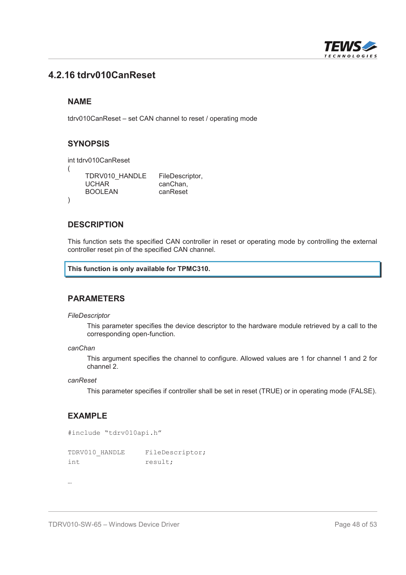

## **4.2.16 tdrv010CanReset**

#### **NAME**

tdrv010CanReset – set CAN channel to reset / operating mode

## **SYNOPSIS**

```
int tdrv010CanReset
(
      TDRV010_HANDLE FileDescriptor,<br>UCHAR canChan.
                                  canChan,<br>canReset
      BOOLEAN
)
```
#### **DESCRIPTION**

This function sets the specified CAN controller in reset or operating mode by controlling the external controller reset pin of the specified CAN channel.

#### **This function is only available for TPMC310.**

#### **PARAMETERS**

#### *FileDescriptor*

This parameter specifies the device descriptor to the hardware module retrieved by a call to the corresponding open-function.

```
canChan
```
This argument specifies the channel to configure. Allowed values are 1 for channel 1 and 2 for channel 2.

```
canReset
```
This parameter specifies if controller shall be set in reset (TRUE) or in operating mode (FALSE).

#### **EXAMPLE**

```
#include "tdrv010api.h"
```

| TDRV010 HANDLE | FileDescriptor; |
|----------------|-----------------|
| int            | result;         |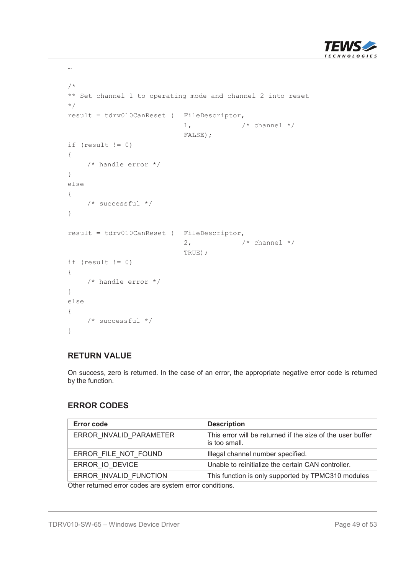

```
/*
** Set channel 1 to operating mode and channel 2 into reset
*/
result = tdrv010CanReset ( FileDescriptor,
                                                                      1, \frac{1}{\sqrt{2}} \frac{1}{\sqrt{2}} \frac{1}{\sqrt{2}} \frac{1}{\sqrt{2}} \frac{1}{\sqrt{2}} \frac{1}{\sqrt{2}} \frac{1}{\sqrt{2}} \frac{1}{\sqrt{2}} \frac{1}{\sqrt{2}} \frac{1}{\sqrt{2}} \frac{1}{\sqrt{2}} \frac{1}{\sqrt{2}} \frac{1}{\sqrt{2}} \frac{1}{\sqrt{2}} \frac{1}{\sqrt{2}} \frac{1}{\sqrt{2}} \frac{1}{\sqrtFALSE);
if (result != 0)
{
           /* handle error */
}
else
{
           /* successful */
}
result = tdrv010CanReset ( FileDescriptor,
                                                                      2, \frac{1}{2} \frac{1}{2} \frac{1}{2} \frac{1}{2} \frac{1}{2} \frac{1}{2} \frac{1}{2} \frac{1}{2} \frac{1}{2} \frac{1}{2} \frac{1}{2} \frac{1}{2} \frac{1}{2} \frac{1}{2} \frac{1}{2} \frac{1}{2} \frac{1}{2} \frac{1}{2} \frac{1}{2} \frac{1}{2} \frac{1}{2} \frac{1}{TRUE);
if (result != 0)
{
        /* handle error */
}
else
{
        /* successful */
}
```
…

On success, zero is returned. In the case of an error, the appropriate negative error code is returned by the function.

#### **ERROR CODES**

| <b>Error code</b>       | <b>Description</b>                                                          |
|-------------------------|-----------------------------------------------------------------------------|
| ERROR INVALID PARAMETER | This error will be returned if the size of the user buffer<br>is too small. |
| ERROR FILE NOT FOUND    | Illegal channel number specified.                                           |
| ERROR IO DEVICE         | Unable to reinitialize the certain CAN controller.                          |
| ERROR INVALID FUNCTION  | This function is only supported by TPMC310 modules                          |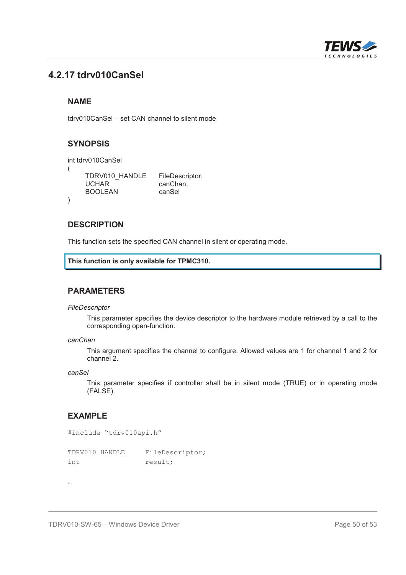

## **4.2.17 tdrv010CanSel**

## **NAME**

tdrv010CanSel – set CAN channel to silent mode

## **SYNOPSIS**

```
int tdrv010CanSel
(
      TDRV010_HANDLE FileDescriptor,<br>UCHAR canChan.
                                  canChan,<br>canSel
      BOOLEAN
)
```
#### **DESCRIPTION**

This function sets the specified CAN channel in silent or operating mode.

```
This function is only available for TPMC310.
```
#### **PARAMETERS**

*FileDescriptor*

This parameter specifies the device descriptor to the hardware module retrieved by a call to the corresponding open-function.

*canChan*

This argument specifies the channel to configure. Allowed values are 1 for channel 1 and 2 for channel 2.

*canSel*

This parameter specifies if controller shall be in silent mode (TRUE) or in operating mode (FALSE).

## **EXAMPLE**

```
#include "tdrv010api.h"
```

| TDRV010 HANDLE | FileDescriptor; |
|----------------|-----------------|
| int.           | result;         |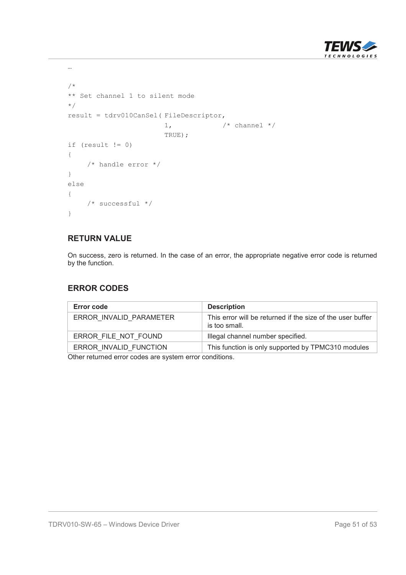

```
/*
** Set channel 1 to silent mode
*/
result = tdrv010CanSel( FileDescriptor,
                       1, \qquad \qquad /* channel */
                       TRUE);
if (result != 0)
{
    /* handle error */
}
else
{
   /* successful */
}
```
…

On success, zero is returned. In the case of an error, the appropriate negative error code is returned by the function.

#### **ERROR CODES**

| Error code              | <b>Description</b>                                                          |
|-------------------------|-----------------------------------------------------------------------------|
| ERROR INVALID PARAMETER | This error will be returned if the size of the user buffer<br>is too small. |
| ERROR FILE NOT FOUND    | Illegal channel number specified.                                           |
| ERROR INVALID FUNCTION  | This function is only supported by TPMC310 modules                          |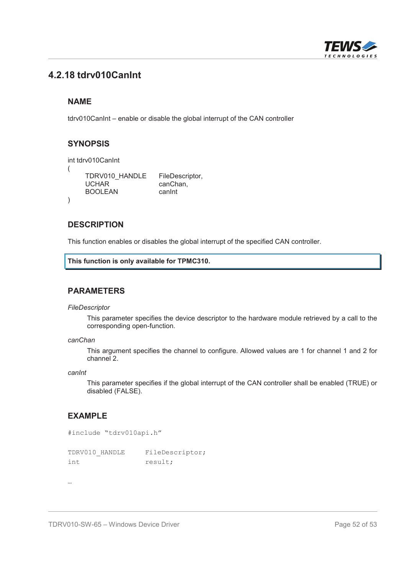

## **4.2.18 tdrv010CanInt**

## **NAME**

tdrv010CanInt – enable or disable the global interrupt of the CAN controller

## **SYNOPSIS**

```
int tdrv010CanInt
(
     TDRV010_HANDLE FileDescriptor,<br>UCHAR canChan.
                           canChan.
     BOOLEAN canInt
)
```
#### **DESCRIPTION**

This function enables or disables the global interrupt of the specified CAN controller.

```
This function is only available for TPMC310.
```
#### **PARAMETERS**

*FileDescriptor*

This parameter specifies the device descriptor to the hardware module retrieved by a call to the corresponding open-function.

*canChan*

This argument specifies the channel to configure. Allowed values are 1 for channel 1 and 2 for channel 2.

*canInt*

This parameter specifies if the global interrupt of the CAN controller shall be enabled (TRUE) or disabled (FALSE).

#### **EXAMPLE**

```
#include "tdrv010api.h"
```

| TDRV010 HANDLE | FileDescriptor; |
|----------------|-----------------|
| int.           | result;         |